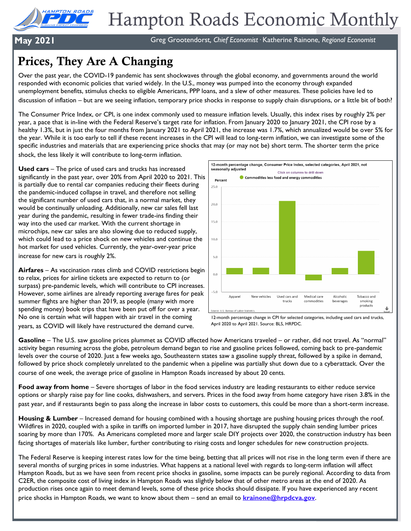

**May 2021** Greg Grootendorst*, Chief Economist·* Katherine Rainone, *Regional Economist*

# Prices, They Are A Changing

Over the past year, the COVID-19 pandemic has sent shockwaves through the global economy, and governments around the world responded with economic policies that varied widely. In the U.S., money was pumped into the economy through expanded unemployment benefits, stimulus checks to eligible Americans, PPP loans, and a slew of other measures. These policies have led to discussion of inflation – but are we seeing inflation, temporary price shocks in response to supply chain disruptions, or a little bit of both?

The Consumer Price Index, or CPI, is one index commonly used to measure inflation levels. Usually, this index rises by roughly 2% per year, a pace that is in-line with the Federal Reserve's target rate for inflation. From January 2020 to January 2021, the CPI rose by a healthy 1.3%, but in just the four months from January 2021 to April 2021, the increase was 1.7%, which annualized would be over 5% for the year. While it is too early to tell if these recent increases in the CPI will lead to long-term inflation, we can investigate some of the specific industries and materials that are experiencing price shocks that may (or may not be) short term. The shorter term the price shock, the less likely it will contribute to long-term inflation.

**Used cars** – The price of used cars and trucks has increased significantly in the past year, over 20% from April 2020 to 2021. This is partially due to rental car companies reducing their fleets during the pandemic-induced collapse in travel, and therefore not selling the significant number of used cars that, in a normal market, they would be continually unloading. Additionally, new car sales fell last year during the pandemic, resulting in fewer trade-ins finding their way into the used car market. With the current shortage in microchips, new car sales are also slowing due to reduced supply, which could lead to a price shock on new vehicles and continue the hot market for used vehicles. Currently, the year-over-year price increase for new cars is roughly 2%.

**Airfares** – As vaccination rates climb and COVID restrictions begin to relax, prices for airline tickets are expected to return to (or surpass) pre-pandemic levels, which will contribute to CPI increases. However, some airlines are already reporting average fares for peak summer flights are higher than 2019, as people (many with more spending money) book trips that have been put off for over a year. No one is certain what will happen with air travel in the coming years, as COVID will likely have restructured the demand curve.



12-month percentage change in CPI for selected categories, including used cars and trucks, April 2020 to April 2021. Source: BLS, HRPDC.

**Gasoline** – The U.S. saw gasoline prices plummet as COVID affected how Americans traveled – or rather, did not travel. As "normal" activity began resuming across the globe, petroleum demand began to rise and gasoline prices followed, coming back to pre-pandemic levels over the course of 2020. Just a few weeks ago, Southeastern states saw a gasoline supply threat, followed by a spike in demand, followed by price shock completely unrelated to the pandemic when a pipeline was partially shut down due to a cyberattack. Over the course of one week, the average price of gasoline in Hampton Roads increased by about 20 cents.

**Food away from home** – Severe shortages of labor in the food services industry are leading restaurants to either reduce service options or sharply raise pay for line cooks, dishwashers, and servers. Prices in the food away from home category have risen 3.8% in the past year, and if restaurants begin to pass along the increase in labor costs to customers, this could be more than a short-term increase.

**Housing & Lumber** – Increased demand for housing combined with a housing shortage are pushing housing prices through the roof. Wildfires in 2020, coupled with a spike in tariffs on imported lumber in 2017, have disrupted the supply chain sending lumber prices soaring by more than 170%. As Americans completed more and larger scale DIY projects over 2020, the construction industry has been facing shortages of materials like lumber, further contributing to rising costs and longer schedules for new construction projects.

The Federal Reserve is keeping interest rates low for the time being, betting that all prices will not rise in the long term even if there are several months of surging prices in some industries. What happens at a national level with regards to long-term inflation will affect Hampton Roads, but as we have seen from recent price shocks in gasoline, some impacts can be purely regional. According to data from C2ER, the composite cost of living index in Hampton Roads was slightly below that of other metro areas at the end of 2020. As production rises once again to meet demand levels, some of these price shocks should dissipate. If you have experienced any recent price shocks in Hampton Roads, we want to know about them – send an email to **[krainone@hrpdcva.gov](mailto:krainone@hrpdcva.gov)**.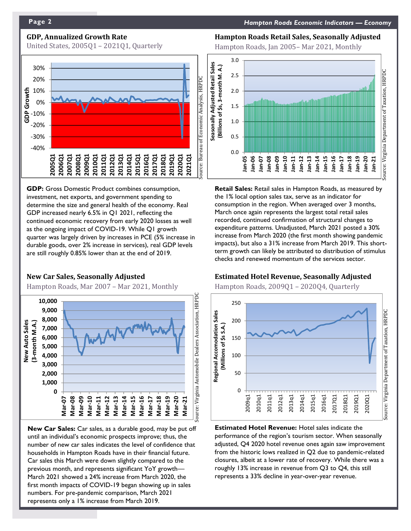### **GDP, Annualized Growth Rate**

United States, 2005Q1 – 2021Q1, Quarterly



**GDP:** Gross Domestic Product combines consumption, investment, net exports, and government spending to determine the size and general health of the economy. Real GDP increased nearly 6.5% in Q1 2021, reflecting the continued economic recovery from early 2020 losses as well as the ongoing impact of COVID-19. While Q1 growth quarter was largely driven by increases in PCE (5% increase in durable goods, over 2% increase in services), real GDP levels are still roughly 0.85% lower than at the end of 2019.

#### **New Car Sales, Seasonally Adjusted**

Hampton Roads, Mar 2007 – Mar 2021, Monthly



**New Car Sales:** Car sales, as a durable good, may be put off until an individual's economic prospects improve; thus, the number of new car sales indicates the level of confidence that households in Hampton Roads have in their financial future. Car sales this March were down slightly compared to the previous month, and represents significant YoY growth— March 2021 showed a 24% increase from March 2020, the first month impacts of COVID-19 began showing up in sales numbers. For pre-pandemic comparison, March 2021 represents only a 1% increase from March 2019.

#### **Hampton Roads Retail Sales, Seasonally Adjusted**

Hampton Roads, Jan 2005– Mar 2021, Monthly



**Retail Sales:** Retail sales in Hampton Roads, as measured by the 1% local option sales tax, serve as an indicator for consumption in the region. When averaged over 3 months, March once again represents the largest total retail sales recorded, continued confirmation of structural changes to expenditure patterns. Unadjusted, March 2021 posted a 30% increase from March 2020 (the first month showing pandemic impacts), but also a 31% increase from March 2019. This shortterm growth can likely be attributed to distribution of stimulus checks and renewed momentum of the services sector.

#### **Estimated Hotel Revenue, Seasonally Adjusted**

Hampton Roads, 2009Q1 – 2020Q4, Quarterly



**Estimated Hotel Revenue:** Hotel sales indicate the performance of the region's tourism sector. When seasonally adjusted, Q4 2020 hotel revenue ones again saw improvement from the historic lows realized in Q2 due to pandemic-related closures, albeit at a lower rate of recovery. While there was a roughly 13% increase in revenue from Q3 to Q4, this still represents a 33% decline in year-over-year revenue.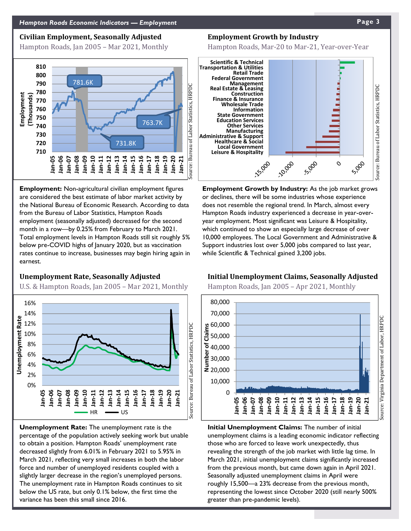#### **Civilian Employment, Seasonally Adjusted**

Hampton Roads, Jan 2005 – Mar 2021, Monthly



**Employment:** Non-agricultural civilian employment figures are considered the best estimate of labor market activity by the National Bureau of Economic Research. According to data from the Bureau of Labor Statistics, Hampton Roads employment (seasonally adjusted) decreased for the second month in a row—by 0.25% from February to March 2021. Total employment levels in Hampton Roads still sit roughly 5% below pre-COVID highs of January 2020, but as vaccination rates continue to increase, businesses may begin hiring again in earnest.

### **Unemployment Rate, Seasonally Adjusted**

U.S. & Hampton Roads, Jan 2005 – Mar 2021, Monthly



**Unemployment Rate:** The unemployment rate is the percentage of the population actively seeking work but unable to obtain a position. Hampton Roads' unemployment rate decreased slightly from 6.01% in February 2021 to 5.95% in March 2021, reflecting very small increases in both the labor force and number of unemployed residents coupled with a slightly larger decrease in the region's unemployed persons. The unemployment rate in Hampton Roads continues to sit below the US rate, but only 0.1% below, the first time the variance has been this small since 2016.

#### **Employment Growth by Industry**

Hampton Roads, Mar-20 to Mar-21, Year-over-Year



**Employment Growth by Industry:** As the job market grows or declines, there will be some industries whose experience does not resemble the regional trend. In March, almost every Hampton Roads industry experienced a decrease in year-overyear employment. Most significant was Leisure & Hospitality, which continued to show an especially large decrease of over 10,000 employees. The Local Government and Administrative & Support industries lost over 5,000 jobs compared to last year, while Scientific & Technical gained 3,200 jobs.

### **Initial Unemployment Claims, Seasonally Adjusted**

Hampton Roads, Jan 2005 – Apr 2021, Monthly



**Initial Unemployment Claims:** The number of initial unemployment claims is a leading economic indicator reflecting those who are forced to leave work unexpectedly, thus revealing the strength of the job market with little lag time. In March 2021, initial unemployment claims significantly increased from the previous month, but came down again in April 2021. Seasonally adjusted unemployment claims in April were roughly 15,500—a 23% decrease from the previous month, representing the lowest since October 2020 (still nearly 500% greater than pre-pandemic levels).